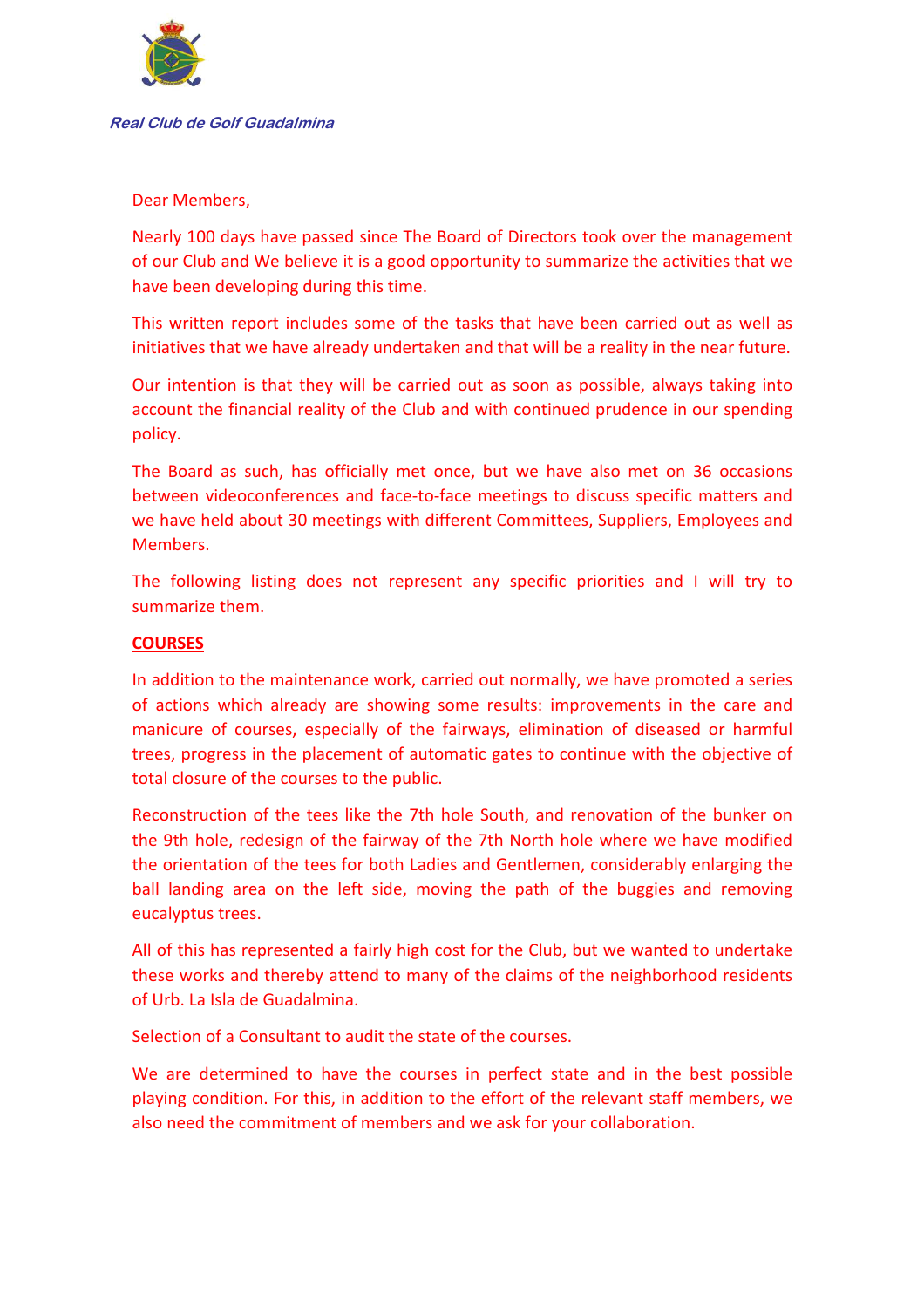

Dear Members,

Nearly 100 days have passed since The Board of Directors took over the management of our Club and We believe it is a good opportunity to summarize the activities that we have been developing during this time.

This written report includes some of the tasks that have been carried out as well as initiatives that we have already undertaken and that will be a reality in the near future.

Our intention is that they will be carried out as soon as possible, always taking into account the financial reality of the Club and with continued prudence in our spending policy.

The Board as such, has officially met once, but we have also met on 36 occasions between videoconferences and face-to-face meetings to discuss specific matters and we have held about 30 meetings with different Committees, Suppliers, Employees and Members.

The following listing does not represent any specific priorities and I will try to summarize them.

# **COURSES**

In addition to the maintenance work, carried out normally, we have promoted a series of actions which already are showing some results: improvements in the care and manicure of courses, especially of the fairways, elimination of diseased or harmful trees, progress in the placement of automatic gates to continue with the objective of total closure of the courses to the public.

Reconstruction of the tees like the 7th hole South, and renovation of the bunker on the 9th hole, redesign of the fairway of the 7th North hole where we have modified the orientation of the tees for both Ladies and Gentlemen, considerably enlarging the ball landing area on the left side, moving the path of the buggies and removing eucalyptus trees.

All of this has represented a fairly high cost for the Club, but we wanted to undertake these works and thereby attend to many of the claims of the neighborhood residents of Urb. La Isla de Guadalmina.

Selection of a Consultant to audit the state of the courses.

We are determined to have the courses in perfect state and in the best possible playing condition. For this, in addition to the effort of the relevant staff members, we also need the commitment of members and we ask for your collaboration.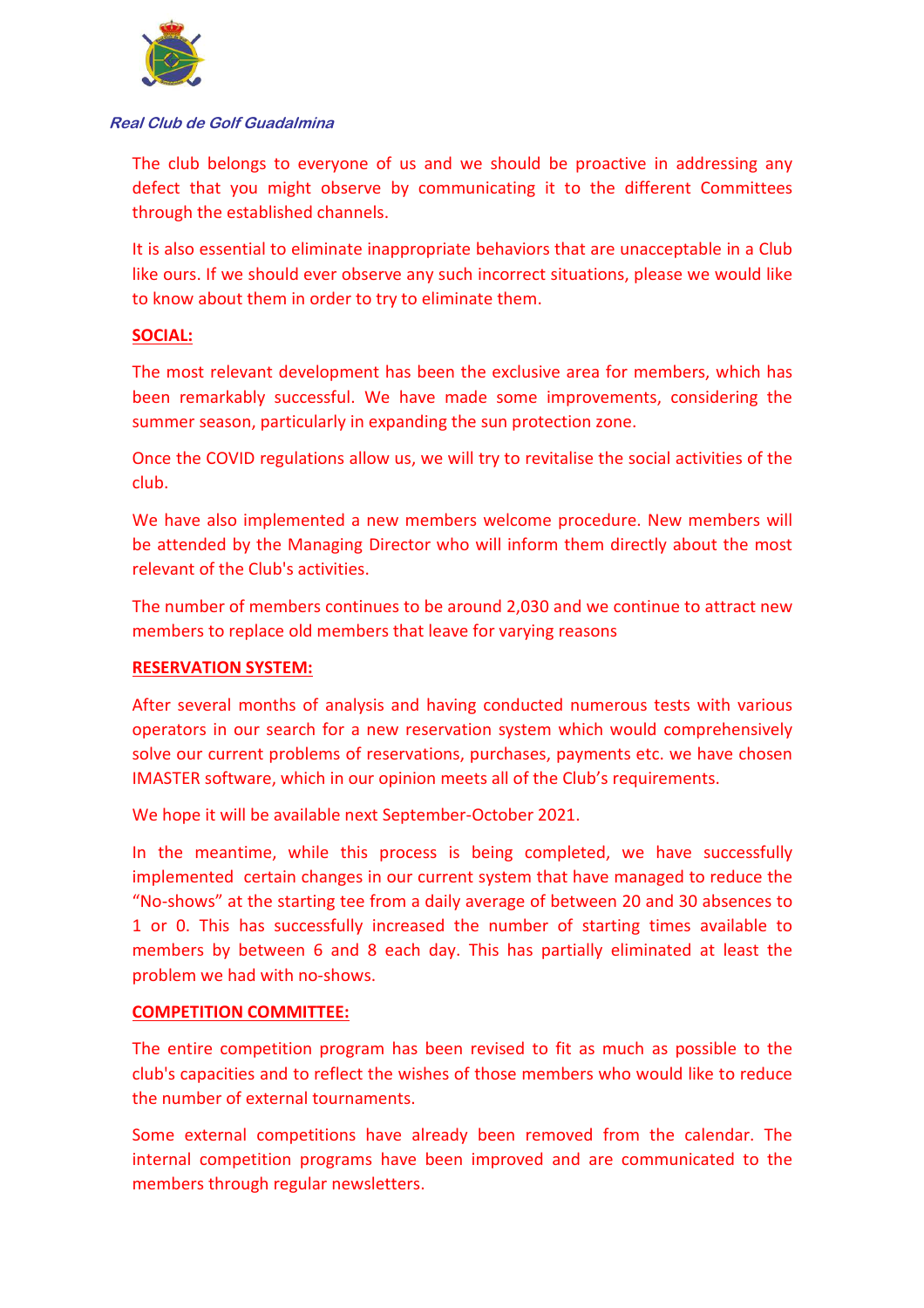

The club belongs to everyone of us and we should be proactive in addressing any defect that you might observe by communicating it to the different Committees through the established channels.

It is also essential to eliminate inappropriate behaviors that are unacceptable in a Club like ours. If we should ever observe any such incorrect situations, please we would like to know about them in order to try to eliminate them.

## **SOCIAL:**

The most relevant development has been the exclusive area for members, which has been remarkably successful. We have made some improvements, considering the summer season, particularly in expanding the sun protection zone.

Once the COVID regulations allow us, we will try to revitalise the social activities of the club.

We have also implemented a new members welcome procedure. New members will be attended by the Managing Director who will inform them directly about the most relevant of the Club's activities.

The number of members continues to be around 2,030 and we continue to attract new members to replace old members that leave for varying reasons

### **RESERVATION SYSTEM:**

After several months of analysis and having conducted numerous tests with various operators in our search for a new reservation system which would comprehensively solve our current problems of reservations, purchases, payments etc. we have chosen IMASTER software, which in our opinion meets all of the Club's requirements.

We hope it will be available next September-October 2021.

In the meantime, while this process is being completed, we have successfully implemented certain changes in our current system that have managed to reduce the "No-shows" at the starting tee from a daily average of between 20 and 30 absences to 1 or 0. This has successfully increased the number of starting times available to members by between 6 and 8 each day. This has partially eliminated at least the problem we had with no-shows.

### **COMPETITION COMMITTEE:**

The entire competition program has been revised to fit as much as possible to the club's capacities and to reflect the wishes of those members who would like to reduce the number of external tournaments.

Some external competitions have already been removed from the calendar. The internal competition programs have been improved and are communicated to the members through regular newsletters.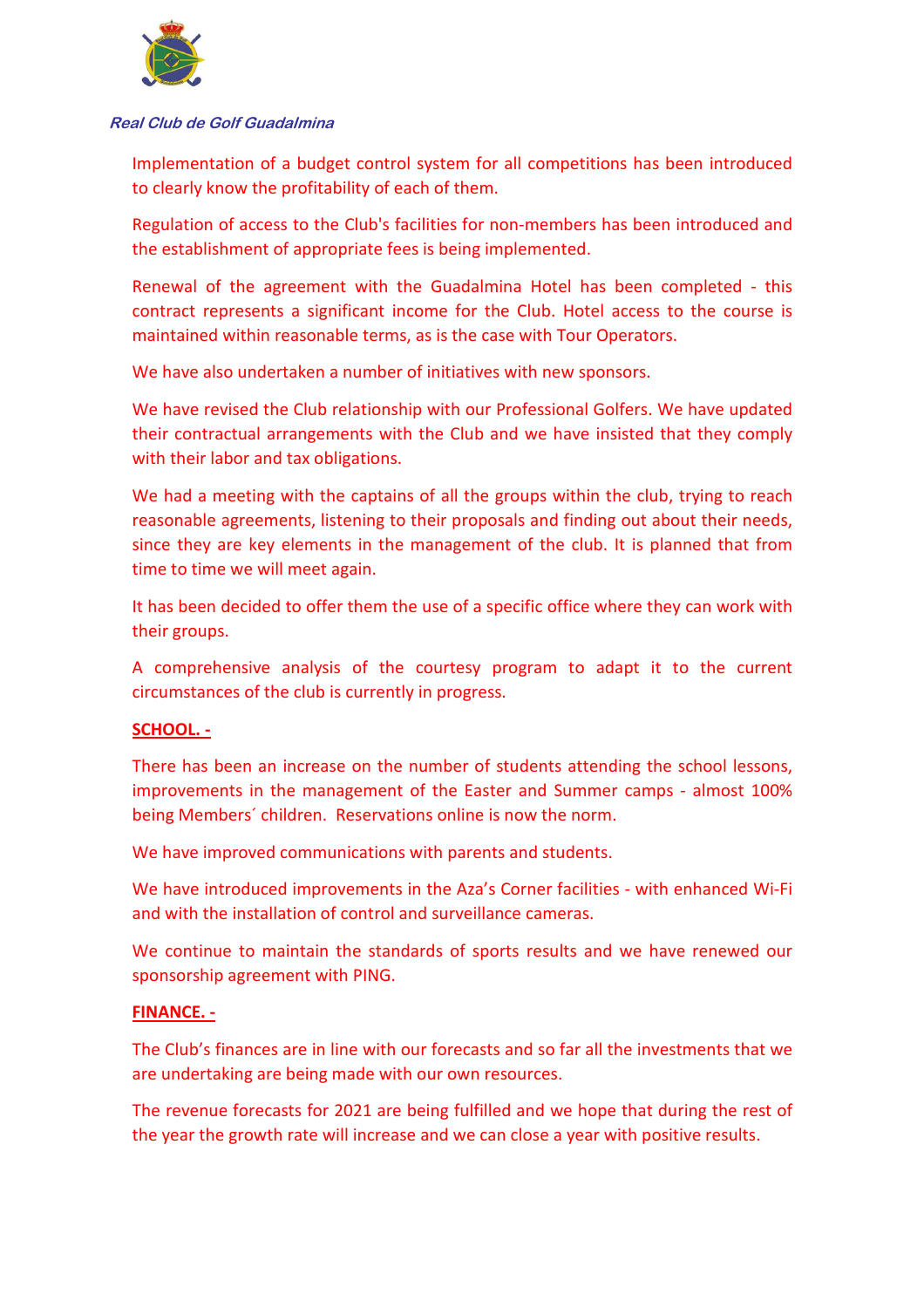

Implementation of a budget control system for all competitions has been introduced to clearly know the profitability of each of them.

Regulation of access to the Club's facilities for non-members has been introduced and the establishment of appropriate fees is being implemented.

Renewal of the agreement with the Guadalmina Hotel has been completed - this contract represents a significant income for the Club. Hotel access to the course is maintained within reasonable terms, as is the case with Tour Operators.

We have also undertaken a number of initiatives with new sponsors.

We have revised the Club relationship with our Professional Golfers. We have updated their contractual arrangements with the Club and we have insisted that they comply with their labor and tax obligations.

We had a meeting with the captains of all the groups within the club, trying to reach reasonable agreements, listening to their proposals and finding out about their needs, since they are key elements in the management of the club. It is planned that from time to time we will meet again.

It has been decided to offer them the use of a specific office where they can work with their groups.

A comprehensive analysis of the courtesy program to adapt it to the current circumstances of the club is currently in progress.

### **SCHOOL. -**

There has been an increase on the number of students attending the school lessons, improvements in the management of the Easter and Summer camps - almost 100% being Members´ children. Reservations online is now the norm.

We have improved communications with parents and students.

We have introduced improvements in the Aza's Corner facilities - with enhanced Wi-Fi and with the installation of control and surveillance cameras.

We continue to maintain the standards of sports results and we have renewed our sponsorship agreement with PING.

### **FINANCE. -**

The Club's finances are in line with our forecasts and so far all the investments that we are undertaking are being made with our own resources.

The revenue forecasts for 2021 are being fulfilled and we hope that during the rest of the year the growth rate will increase and we can close a year with positive results.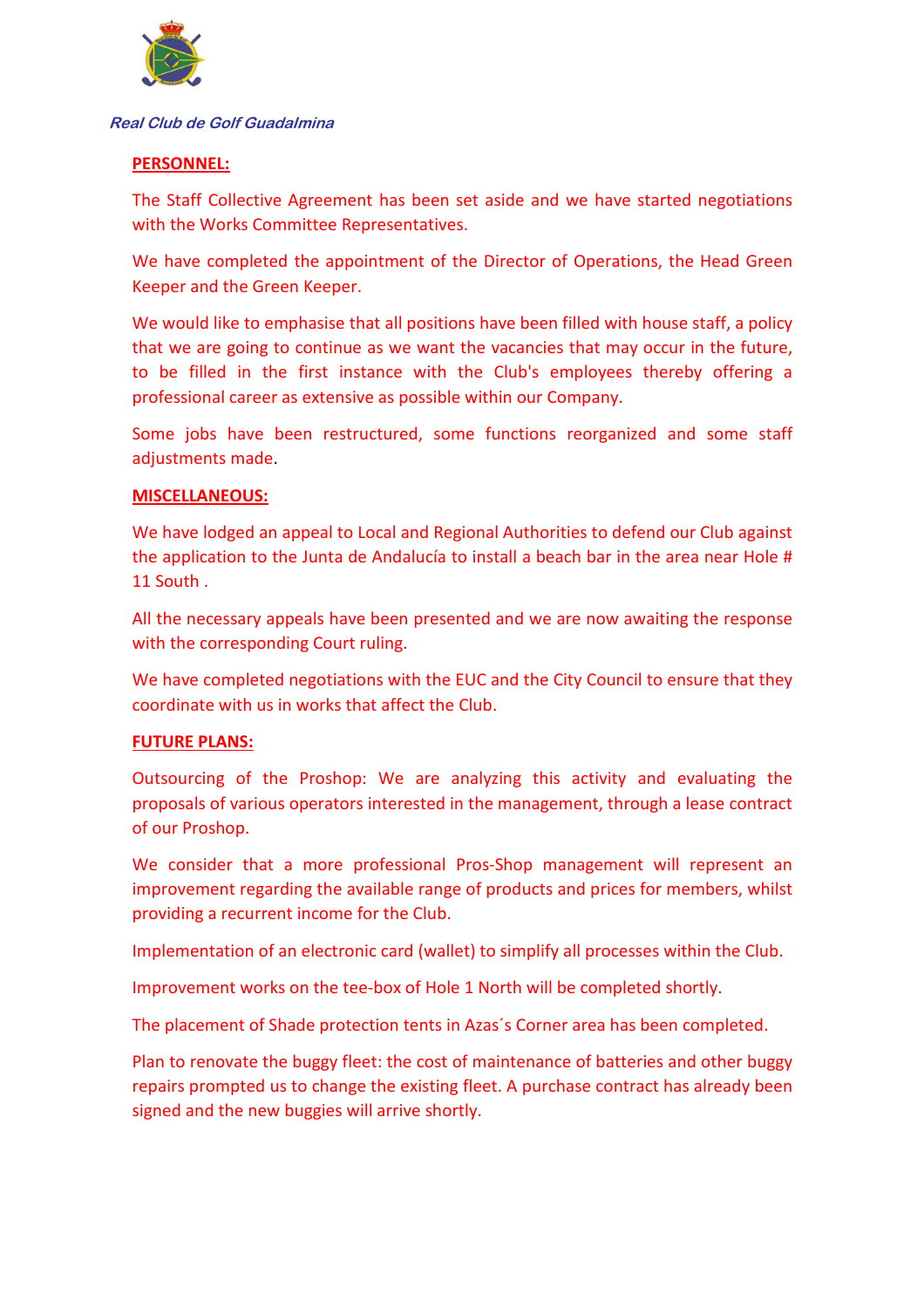

## **PERSONNEL:**

The Staff Collective Agreement has been set aside and we have started negotiations with the Works Committee Representatives.

We have completed the appointment of the Director of Operations, the Head Green Keeper and the Green Keeper.

We would like to emphasise that all positions have been filled with house staff, a policy that we are going to continue as we want the vacancies that may occur in the future, to be filled in the first instance with the Club's employees thereby offering a professional career as extensive as possible within our Company.

Some jobs have been restructured, some functions reorganized and some staff adjustments made.

### **MISCELLANEOUS:**

We have lodged an appeal to Local and Regional Authorities to defend our Club against the application to the Junta de Andalucía to install a beach bar in the area near Hole # 11 South .

All the necessary appeals have been presented and we are now awaiting the response with the corresponding Court ruling.

We have completed negotiations with the EUC and the City Council to ensure that they coordinate with us in works that affect the Club.

### **FUTURE PLANS:**

Outsourcing of the Proshop: We are analyzing this activity and evaluating the proposals of various operators interested in the management, through a lease contract of our Proshop.

We consider that a more professional Pros-Shop management will represent an improvement regarding the available range of products and prices for members, whilst providing a recurrent income for the Club.

Implementation of an electronic card (wallet) to simplify all processes within the Club.

Improvement works on the tee-box of Hole 1 North will be completed shortly.

The placement of Shade protection tents in Azas´s Corner area has been completed.

Plan to renovate the buggy fleet: the cost of maintenance of batteries and other buggy repairs prompted us to change the existing fleet. A purchase contract has already been signed and the new buggies will arrive shortly.